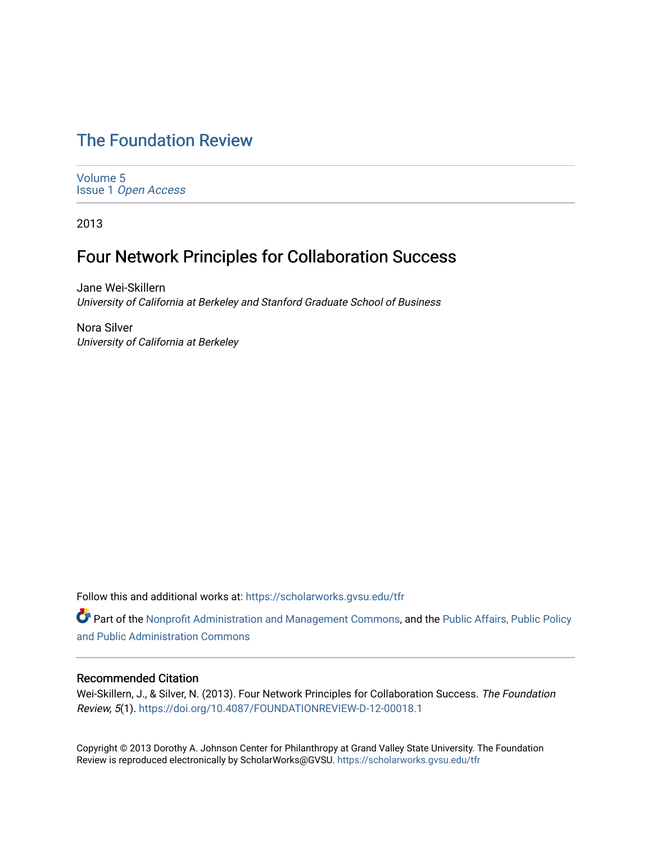# [The Foundation Review](https://scholarworks.gvsu.edu/tfr)

[Volume 5](https://scholarworks.gvsu.edu/tfr/vol5) Issue 1 [Open Access](https://scholarworks.gvsu.edu/tfr/vol5/iss1)

2013

# Four Network Principles for Collaboration Success

Jane Wei-Skillern University of California at Berkeley and Stanford Graduate School of Business

Nora Silver University of California at Berkeley

Follow this and additional works at: [https://scholarworks.gvsu.edu/tfr](https://scholarworks.gvsu.edu/tfr?utm_source=scholarworks.gvsu.edu%2Ftfr%2Fvol5%2Fiss1%2F10&utm_medium=PDF&utm_campaign=PDFCoverPages)

Part of the [Nonprofit Administration and Management Commons,](http://network.bepress.com/hgg/discipline/1228?utm_source=scholarworks.gvsu.edu%2Ftfr%2Fvol5%2Fiss1%2F10&utm_medium=PDF&utm_campaign=PDFCoverPages) and the [Public Affairs, Public Policy](http://network.bepress.com/hgg/discipline/393?utm_source=scholarworks.gvsu.edu%2Ftfr%2Fvol5%2Fiss1%2F10&utm_medium=PDF&utm_campaign=PDFCoverPages)  [and Public Administration Commons](http://network.bepress.com/hgg/discipline/393?utm_source=scholarworks.gvsu.edu%2Ftfr%2Fvol5%2Fiss1%2F10&utm_medium=PDF&utm_campaign=PDFCoverPages) 

# Recommended Citation

Wei-Skillern, J., & Silver, N. (2013). Four Network Principles for Collaboration Success. The Foundation Review, 5(1). <https://doi.org/10.4087/FOUNDATIONREVIEW-D-12-00018.1>

Copyright © 2013 Dorothy A. Johnson Center for Philanthropy at Grand Valley State University. The Foundation Review is reproduced electronically by ScholarWorks@GVSU.<https://scholarworks.gvsu.edu/tfr>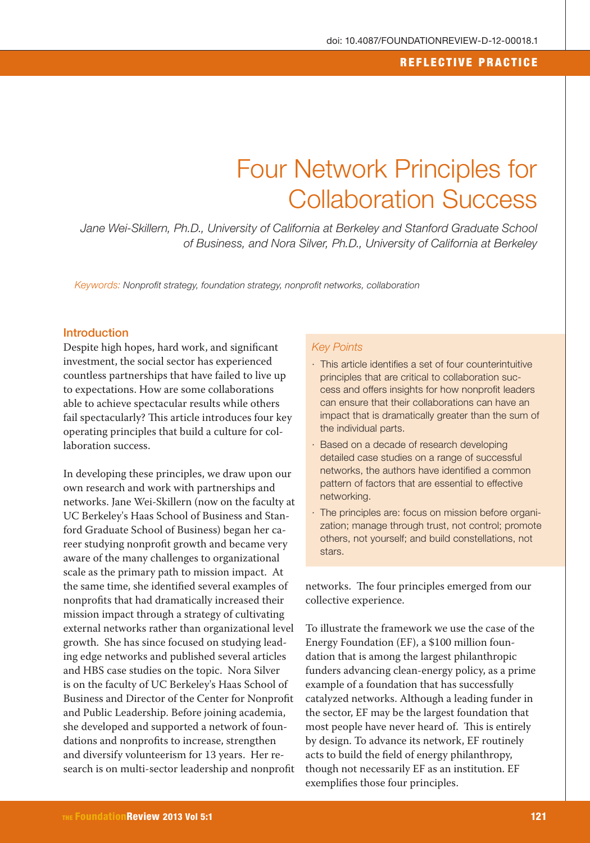#### REFLECTIVE PRACTICE

# Four Network Principles for Collaboration Success

Jane Wei-Skillern, Ph.D., University of California at Berkeley and Stanford Graduate School of Business, and Nora Silver, Ph.D., University of California at Berkeley

Keywords: Nonprofit strategy, foundation strategy, nonprofit networks, collaboration

#### Introduction

Despite high hopes, hard work, and significant investment, the social sector has experienced countless partnerships that have failed to live up to expectations. How are some collaborations able to achieve spectacular results while others fail spectacularly? This article introduces four key operating principles that build a culture for collaboration success.

In developing these principles, we draw upon our own research and work with partnerships and networks. Jane Wei-Skillern (now on the faculty at UC Berkeley's Haas School of Business and Stanford Graduate School of Business) began her career studying nonprofit growth and became very aware of the many challenges to organizational scale as the primary path to mission impact. At the same time, she identified several examples of nonprofits that had dramatically increased their mission impact through a strategy of cultivating external networks rather than organizational level growth. She has since focused on studying leading edge networks and published several articles and HBS case studies on the topic. Nora Silver is on the faculty of UC Berkeley's Haas School of Business and Director of the Center for Nonprofit and Public Leadership. Before joining academia, she developed and supported a network of foundations and nonprofits to increase, strengthen and diversify volunteerism for 13 years. Her research is on multi-sector leadership and nonprofit

#### Key Points

- · This article identifies a set of four counterintuitive principles that are critical to collaboration success and offers insights for how nonprofit leaders can ensure that their collaborations can have an impact that is dramatically greater than the sum of the individual parts.
- · Based on a decade of research developing detailed case studies on a range of successful networks, the authors have identified a common pattern of factors that are essential to effective networking.
- · The principles are: focus on mission before organization; manage through trust, not control; promote others, not yourself; and build constellations, not stars.

networks. The four principles emerged from our collective experience.

To illustrate the framework we use the case of the Energy Foundation (EF), a \$100 million foundation that is among the largest philanthropic funders advancing clean-energy policy, as a prime example of a foundation that has successfully catalyzed networks. Although a leading funder in the sector, EF may be the largest foundation that most people have never heard of. This is entirely by design. To advance its network, EF routinely acts to build the field of energy philanthropy, though not necessarily EF as an institution. EF exemplifies those four principles.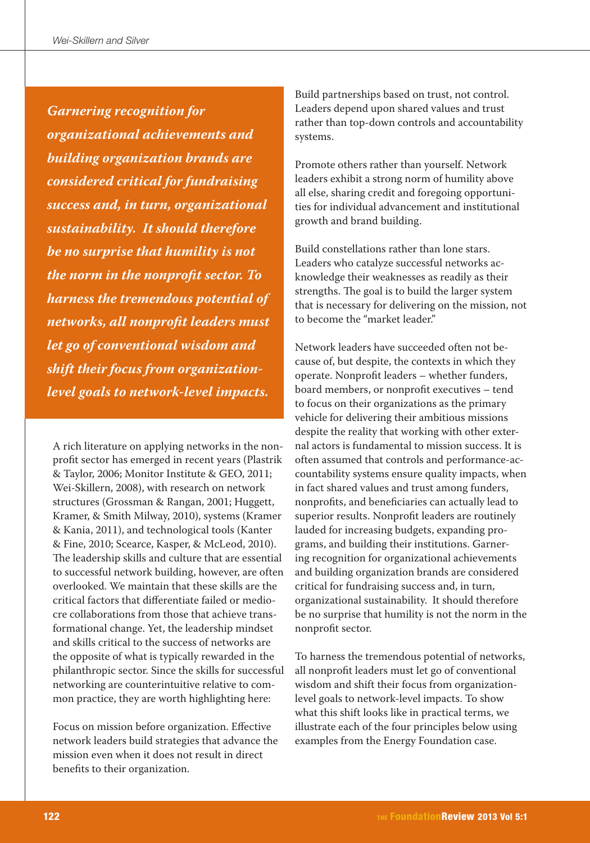**Garnering recognition for organizational achievements and building organization brands are considered critical for fundraising success and, in turn, organizational sustainability. It should therefore be no surprise that humility is not the norm in the nonprofit sector. To harness the tremendous potential of networks, all nonprofit leaders must let go of conventional wisdom and shift their focus from organizationlevel goals to network-level impacts.**

A rich literature on applying networks in the nonprofit sector has emerged in recent years (Plastrik & Taylor, 2006; Monitor Institute & GEO, 2011; Wei-Skillern, 2008), with research on network structures (Grossman & Rangan, 2001; Huggett, Kramer, & Smith Milway, 2010), systems (Kramer & Kania, 2011), and technological tools (Kanter & Fine, 2010; Scearce, Kasper, & McLeod, 2010). The leadership skills and culture that are essential to successful network building, however, are often overlooked. We maintain that these skills are the critical factors that differentiate failed or mediocre collaborations from those that achieve transformational change. Yet, the leadership mindset and skills critical to the success of networks are the opposite of what is typically rewarded in the philanthropic sector. Since the skills for successful networking are counterintuitive relative to common practice, they are worth highlighting here:

Focus on mission before organization. Effective network leaders build strategies that advance the mission even when it does not result in direct benefits to their organization.

Build partnerships based on trust, not control. Leaders depend upon shared values and trust rather than top-down controls and accountability systems.

Promote others rather than yourself. Network leaders exhibit a strong norm of humility above all else, sharing credit and foregoing opportunities for individual advancement and institutional growth and brand building.

Build constellations rather than lone stars. Leaders who catalyze successful networks acknowledge their weaknesses as readily as their strengths. The goal is to build the larger system that is necessary for delivering on the mission, not to become the "market leader"

Network leaders have succeeded often not because of, but despite, the contexts in which they operate. Nonprofit leaders – whether funders, board members, or nonprofit executives – tend to focus on their organizations as the primary vehicle for delivering their ambitious missions despite the reality that working with other external actors is fundamental to mission success. It is often assumed that controls and performance-accountability systems ensure quality impacts, when in fact shared values and trust among funders, nonprofits, and beneficiaries can actually lead to superior results. Nonprofit leaders are routinely lauded for increasing budgets, expanding programs, and building their institutions. Garnering recognition for organizational achievements and building organization brands are considered critical for fundraising success and, in turn, organizational sustainability. It should therefore be no surprise that humility is not the norm in the nonprofit sector.

To harness the tremendous potential of networks, all nonprofit leaders must let go of conventional wisdom and shift their focus from organizationlevel goals to network-level impacts. To show what this shift looks like in practical terms, we illustrate each of the four principles below using examples from the Energy Foundation case.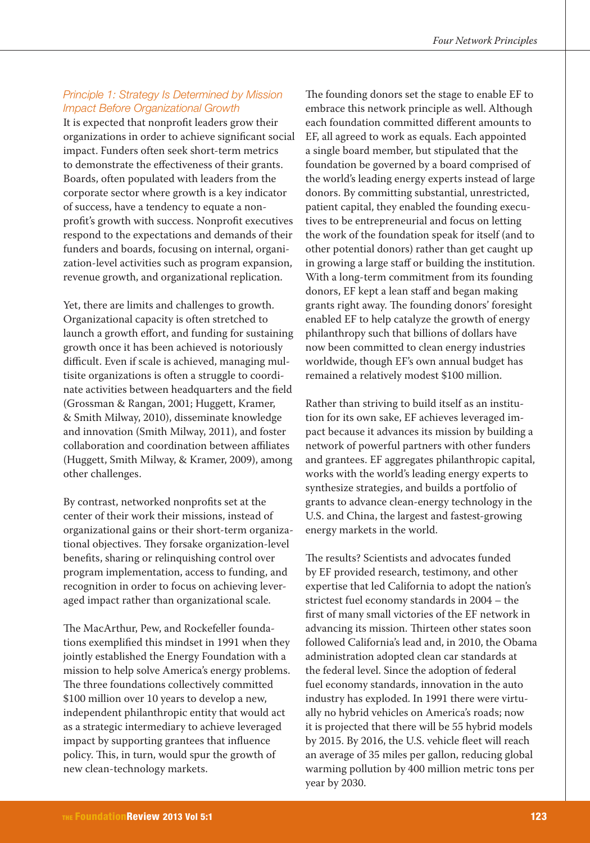## Principle 1: Strategy Is Determined by Mission Impact Before Organizational Growth

It is expected that nonprofit leaders grow their organizations in order to achieve significant social impact. Funders often seek short-term metrics to demonstrate the effectiveness of their grants. Boards, often populated with leaders from the corporate sector where growth is a key indicator of success, have a tendency to equate a nonprofit's growth with success. Nonprofit executives respond to the expectations and demands of their funders and boards, focusing on internal, organization-level activities such as program expansion, revenue growth, and organizational replication.

Yet, there are limits and challenges to growth. Organizational capacity is often stretched to launch a growth effort, and funding for sustaining growth once it has been achieved is notoriously difficult. Even if scale is achieved, managing multisite organizations is often a struggle to coordinate activities between headquarters and the field (Grossman & Rangan, 2001; Huggett, Kramer, & Smith Milway, 2010), disseminate knowledge and innovation (Smith Milway, 2011), and foster collaboration and coordination between affiliates (Huggett, Smith Milway, & Kramer, 2009), among other challenges.

By contrast, networked nonprofits set at the center of their work their missions, instead of organizational gains or their short-term organizational objectives. They forsake organization-level benefits, sharing or relinquishing control over program implementation, access to funding, and recognition in order to focus on achieving leveraged impact rather than organizational scale.

The MacArthur, Pew, and Rockefeller foundations exemplified this mindset in 1991 when they jointly established the Energy Foundation with a mission to help solve America's energy problems. The three foundations collectively committed \$100 million over 10 years to develop a new, independent philanthropic entity that would act as a strategic intermediary to achieve leveraged impact by supporting grantees that influence policy. This, in turn, would spur the growth of new clean-technology markets.

The founding donors set the stage to enable EF to embrace this network principle as well. Although each foundation committed different amounts to EF, all agreed to work as equals. Each appointed a single board member, but stipulated that the foundation be governed by a board comprised of the world's leading energy experts instead of large donors. By committing substantial, unrestricted, patient capital, they enabled the founding executives to be entrepreneurial and focus on letting the work of the foundation speak for itself (and to other potential donors) rather than get caught up in growing a large staff or building the institution. With a long-term commitment from its founding donors, EF kept a lean staff and began making grants right away. The founding donors' foresight enabled EF to help catalyze the growth of energy philanthropy such that billions of dollars have now been committed to clean energy industries worldwide, though EF's own annual budget has remained a relatively modest \$100 million.

Rather than striving to build itself as an institution for its own sake, EF achieves leveraged impact because it advances its mission by building a network of powerful partners with other funders and grantees. EF aggregates philanthropic capital, works with the world's leading energy experts to synthesize strategies, and builds a portfolio of grants to advance clean-energy technology in the U.S. and China, the largest and fastest-growing energy markets in the world.

The results? Scientists and advocates funded by EF provided research, testimony, and other expertise that led California to adopt the nation's strictest fuel economy standards in 2004 – the first of many small victories of the EF network in advancing its mission. Thirteen other states soon followed California's lead and, in 2010, the Obama administration adopted clean car standards at the federal level. Since the adoption of federal fuel economy standards, innovation in the auto industry has exploded. In 1991 there were virtually no hybrid vehicles on America's roads; now it is projected that there will be 55 hybrid models by 2015. By 2016, the U.S. vehicle fleet will reach an average of 35 miles per gallon, reducing global warming pollution by 400 million metric tons per year by 2030.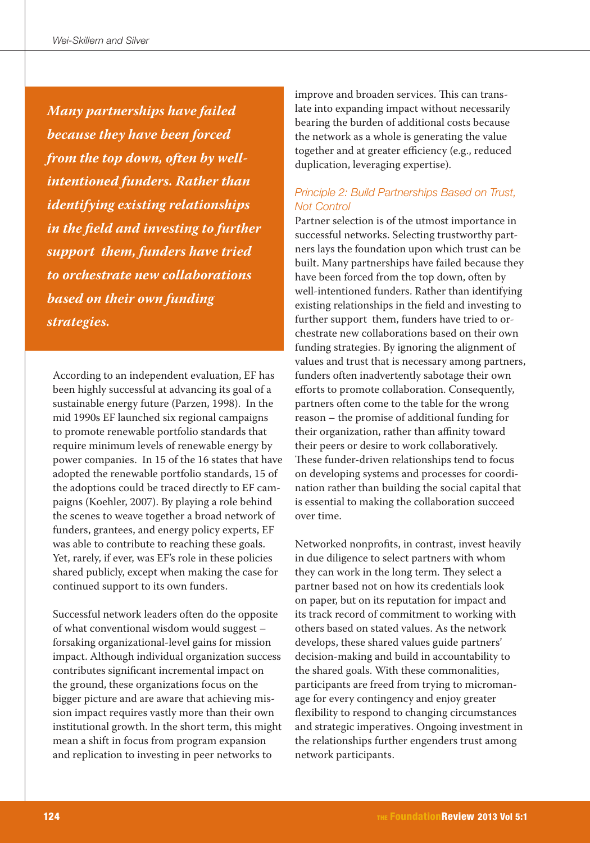**Many partnerships have failed because they have been forced from the top down, often by wellintentioned funders. Rather than identifying existing relationships in the field and investing to further support them, funders have tried to orchestrate new collaborations based on their own funding strategies.**

According to an independent evaluation, EF has been highly successful at advancing its goal of a sustainable energy future (Parzen, 1998). In the mid 1990s EF launched six regional campaigns to promote renewable portfolio standards that require minimum levels of renewable energy by power companies. In 15 of the 16 states that have adopted the renewable portfolio standards, 15 of the adoptions could be traced directly to EF campaigns (Koehler, 2007). By playing a role behind the scenes to weave together a broad network of funders, grantees, and energy policy experts, EF was able to contribute to reaching these goals. Yet, rarely, if ever, was EF's role in these policies shared publicly, except when making the case for continued support to its own funders.

Successful network leaders often do the opposite of what conventional wisdom would suggest – forsaking organizational-level gains for mission impact. Although individual organization success contributes significant incremental impact on the ground, these organizations focus on the bigger picture and are aware that achieving mission impact requires vastly more than their own institutional growth. In the short term, this might mean a shift in focus from program expansion and replication to investing in peer networks to

improve and broaden services. This can translate into expanding impact without necessarily bearing the burden of additional costs because the network as a whole is generating the value together and at greater efficiency (e.g., reduced duplication, leveraging expertise).

## Principle 2: Build Partnerships Based on Trust, Not Control

Partner selection is of the utmost importance in successful networks. Selecting trustworthy partners lays the foundation upon which trust can be built. Many partnerships have failed because they have been forced from the top down, often by well-intentioned funders. Rather than identifying existing relationships in the field and investing to further support them, funders have tried to orchestrate new collaborations based on their own funding strategies. By ignoring the alignment of values and trust that is necessary among partners, funders often inadvertently sabotage their own efforts to promote collaboration. Consequently, partners often come to the table for the wrong reason – the promise of additional funding for their organization, rather than affinity toward their peers or desire to work collaboratively. These funder-driven relationships tend to focus on developing systems and processes for coordination rather than building the social capital that is essential to making the collaboration succeed over time.

Networked nonprofits, in contrast, invest heavily in due diligence to select partners with whom they can work in the long term. They select a partner based not on how its credentials look on paper, but on its reputation for impact and its track record of commitment to working with others based on stated values. As the network develops, these shared values guide partners' decision-making and build in accountability to the shared goals. With these commonalities, participants are freed from trying to micromanage for every contingency and enjoy greater flexibility to respond to changing circumstances and strategic imperatives. Ongoing investment in the relationships further engenders trust among network participants.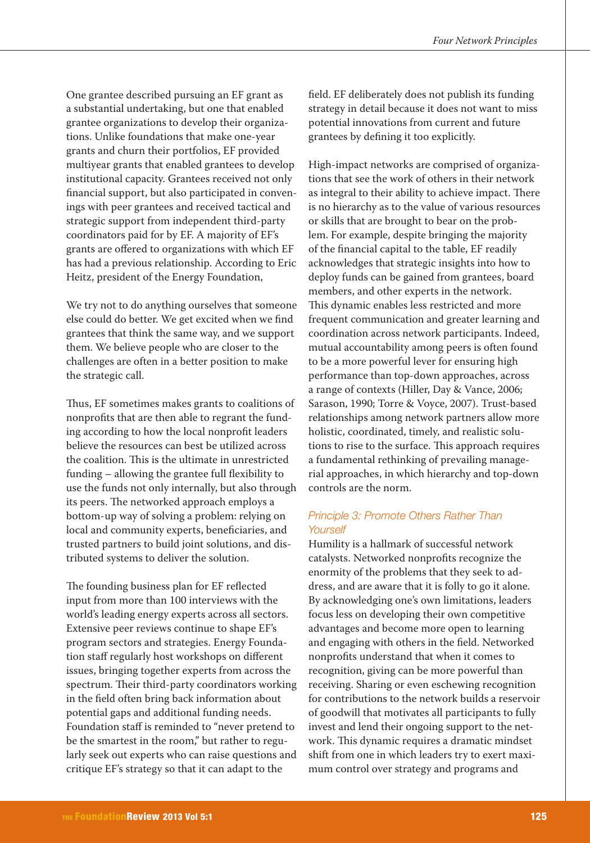One grantee described pursuing an EF grant as a substantial undertaking, but one that enabled grantee organizations to develop their organizations. Unlike foundations that make one-year grants and churn their portfolios, EF provided multiyear grants that enabled grantees to develop institutional capacity. Grantees received not only financial support, but also participated in convenings with peer grantees and received tactical and strategic support from independent third-party coordinators paid for by EF. A majority of EF's grants are offered to organizations with which EF has had a previous relationship. According to Eric Heitz, president of the Energy Foundation,

We try not to do anything ourselves that someone else could do better. We get excited when we find grantees that think the same way, and we support them. We believe people who are closer to the challenges are often in a better position to make the strategic call.

Thus, EF sometimes makes grants to coalitions of nonprofits that are then able to regrant the funding according to how the local nonprofit leaders believe the resources can best be utilized across the coalition. This is the ultimate in unrestricted funding – allowing the grantee full flexibility to use the funds not only internally, but also through its peers. The networked approach employs a bottom-up way of solving a problem: relying on local and community experts, beneficiaries, and trusted partners to build joint solutions, and distributed systems to deliver the solution.

The founding business plan for EF reflected input from more than 100 interviews with the world's leading energy experts across all sectors. Extensive peer reviews continue to shape EF's program sectors and strategies. Energy Foundation staff regularly host workshops on different issues, bringing together experts from across the spectrum. Their third-party coordinators working in the field often bring back information about potential gaps and additional funding needs. Foundation staff is reminded to "never pretend to be the smartest in the room," but rather to regularly seek out experts who can raise questions and critique EF's strategy so that it can adapt to the

field. EF deliberately does not publish its funding strategy in detail because it does not want to miss potential innovations from current and future grantees by defining it too explicitly.

High-impact networks are comprised of organizations that see the work of others in their network as integral to their ability to achieve impact. There is no hierarchy as to the value of various resources or skills that are brought to bear on the problem. For example, despite bringing the majority of the financial capital to the table, EF readily acknowledges that strategic insights into how to deploy funds can be gained from grantees, board members, and other experts in the network. This dynamic enables less restricted and more frequent communication and greater learning and coordination across network participants. Indeed, mutual accountability among peers is often found to be a more powerful lever for ensuring high performance than top-down approaches, across a range of contexts (Hiller, Day & Vance, 2006; Sarason, 1990; Torre & Voyce, 2007). Trust-based relationships among network partners allow more holistic, coordinated, timely, and realistic solutions to rise to the surface. This approach requires a fundamental rethinking of prevailing managerial approaches, in which hierarchy and top-down controls are the norm.

## Principle 3: Promote Others Rather Than **Yourself**

Humility is a hallmark of successful network catalysts. Networked nonprofits recognize the enormity of the problems that they seek to address, and are aware that it is folly to go it alone. By acknowledging one's own limitations, leaders focus less on developing their own competitive advantages and become more open to learning and engaging with others in the field. Networked nonprofits understand that when it comes to recognition, giving can be more powerful than receiving. Sharing or even eschewing recognition for contributions to the network builds a reservoir of goodwill that motivates all participants to fully invest and lend their ongoing support to the network. This dynamic requires a dramatic mindset shift from one in which leaders try to exert maximum control over strategy and programs and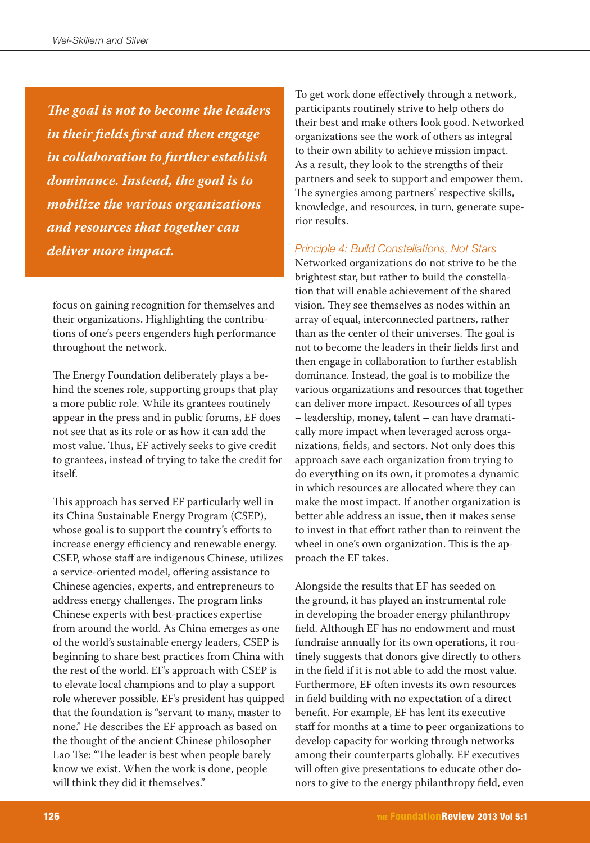**The goal is not to become the leaders in their fields first and then engage in collaboration to further establish dominance. Instead, the goal is to mobilize the various organizations and resources that together can deliver more impact.** 

focus on gaining recognition for themselves and their organizations. Highlighting the contributions of one's peers engenders high performance throughout the network.

The Energy Foundation deliberately plays a behind the scenes role, supporting groups that play a more public role. While its grantees routinely appear in the press and in public forums, EF does not see that as its role or as how it can add the most value. Thus, EF actively seeks to give credit to grantees, instead of trying to take the credit for itself.

This approach has served EF particularly well in its China Sustainable Energy Program (CSEP), whose goal is to support the country's efforts to increase energy efficiency and renewable energy. CSEP, whose staff are indigenous Chinese, utilizes a service-oriented model, offering assistance to Chinese agencies, experts, and entrepreneurs to address energy challenges. The program links Chinese experts with best-practices expertise from around the world. As China emerges as one of the world's sustainable energy leaders, CSEP is beginning to share best practices from China with the rest of the world. EF's approach with CSEP is to elevate local champions and to play a support role wherever possible. EF's president has quipped that the foundation is "servant to many, master to none." He describes the EF approach as based on the thought of the ancient Chinese philosopher Lao Tse: "The leader is best when people barely know we exist. When the work is done, people will think they did it themselves."

To get work done effectively through a network, participants routinely strive to help others do their best and make others look good. Networked organizations see the work of others as integral to their own ability to achieve mission impact. As a result, they look to the strengths of their partners and seek to support and empower them. The synergies among partners' respective skills, knowledge, and resources, in turn, generate superior results.

## Principle 4: Build Constellations, Not Stars

Networked organizations do not strive to be the brightest star, but rather to build the constellation that will enable achievement of the shared vision. They see themselves as nodes within an array of equal, interconnected partners, rather than as the center of their universes. The goal is not to become the leaders in their fields first and then engage in collaboration to further establish dominance. Instead, the goal is to mobilize the various organizations and resources that together can deliver more impact. Resources of all types – leadership, money, talent – can have dramatically more impact when leveraged across organizations, fields, and sectors. Not only does this approach save each organization from trying to do everything on its own, it promotes a dynamic in which resources are allocated where they can make the most impact. If another organization is better able address an issue, then it makes sense to invest in that effort rather than to reinvent the wheel in one's own organization. This is the approach the EF takes.

Alongside the results that EF has seeded on the ground, it has played an instrumental role in developing the broader energy philanthropy field. Although EF has no endowment and must fundraise annually for its own operations, it routinely suggests that donors give directly to others in the field if it is not able to add the most value. Furthermore, EF often invests its own resources in field building with no expectation of a direct benefit. For example, EF has lent its executive staff for months at a time to peer organizations to develop capacity for working through networks among their counterparts globally. EF executives will often give presentations to educate other donors to give to the energy philanthropy field, even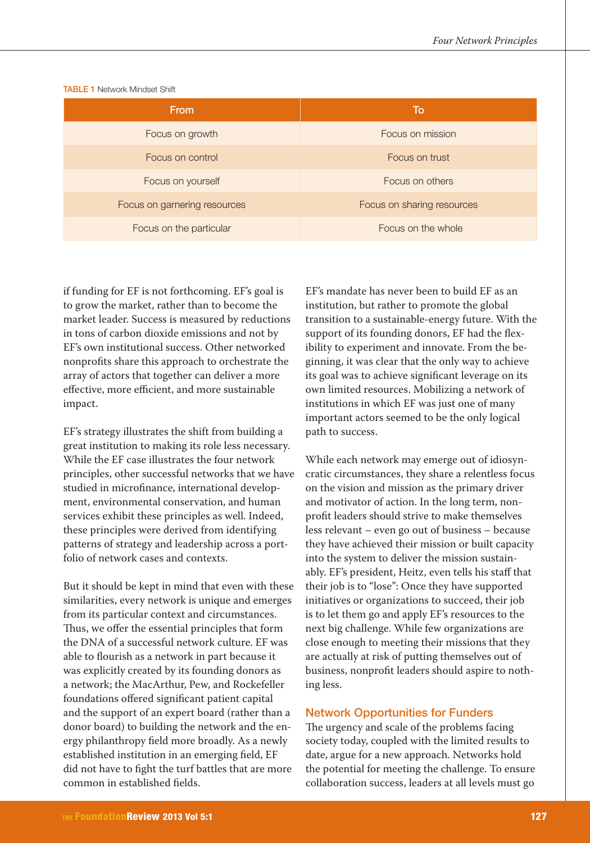| <b>From</b>                  | To                         |
|------------------------------|----------------------------|
| Focus on growth              | Focus on mission           |
| Focus on control             | Focus on trust             |
| Focus on yourself            | Focus on others            |
| Focus on garnering resources | Focus on sharing resources |
| Focus on the particular      | Focus on the whole         |

TABLE 1 Network Mindset Shift

if funding for EF is not forthcoming. EF's goal is to grow the market, rather than to become the market leader. Success is measured by reductions in tons of carbon dioxide emissions and not by EF's own institutional success. Other networked nonprofits share this approach to orchestrate the array of actors that together can deliver a more effective, more efficient, and more sustainable impact.

EF's strategy illustrates the shift from building a great institution to making its role less necessary. While the EF case illustrates the four network principles, other successful networks that we have studied in microfinance, international development, environmental conservation, and human services exhibit these principles as well. Indeed, these principles were derived from identifying patterns of strategy and leadership across a portfolio of network cases and contexts.

But it should be kept in mind that even with these similarities, every network is unique and emerges from its particular context and circumstances. Thus, we offer the essential principles that form the DNA of a successful network culture. EF was able to flourish as a network in part because it was explicitly created by its founding donors as a network; the MacArthur, Pew, and Rockefeller foundations offered significant patient capital and the support of an expert board (rather than a donor board) to building the network and the energy philanthropy field more broadly. As a newly established institution in an emerging field, EF did not have to fight the turf battles that are more common in established fields.

EF's mandate has never been to build EF as an institution, but rather to promote the global transition to a sustainable-energy future. With the support of its founding donors, EF had the flexibility to experiment and innovate. From the beginning, it was clear that the only way to achieve its goal was to achieve significant leverage on its own limited resources. Mobilizing a network of institutions in which EF was just one of many important actors seemed to be the only logical path to success.

While each network may emerge out of idiosyncratic circumstances, they share a relentless focus on the vision and mission as the primary driver and motivator of action. In the long term, nonprofit leaders should strive to make themselves less relevant – even go out of business – because they have achieved their mission or built capacity into the system to deliver the mission sustainably. EF's president, Heitz, even tells his staff that their job is to "lose": Once they have supported initiatives or organizations to succeed, their job is to let them go and apply EF's resources to the next big challenge. While few organizations are close enough to meeting their missions that they are actually at risk of putting themselves out of business, nonprofit leaders should aspire to nothing less.

#### Network Opportunities for Funders

The urgency and scale of the problems facing society today, coupled with the limited results to date, argue for a new approach. Networks hold the potential for meeting the challenge. To ensure collaboration success, leaders at all levels must go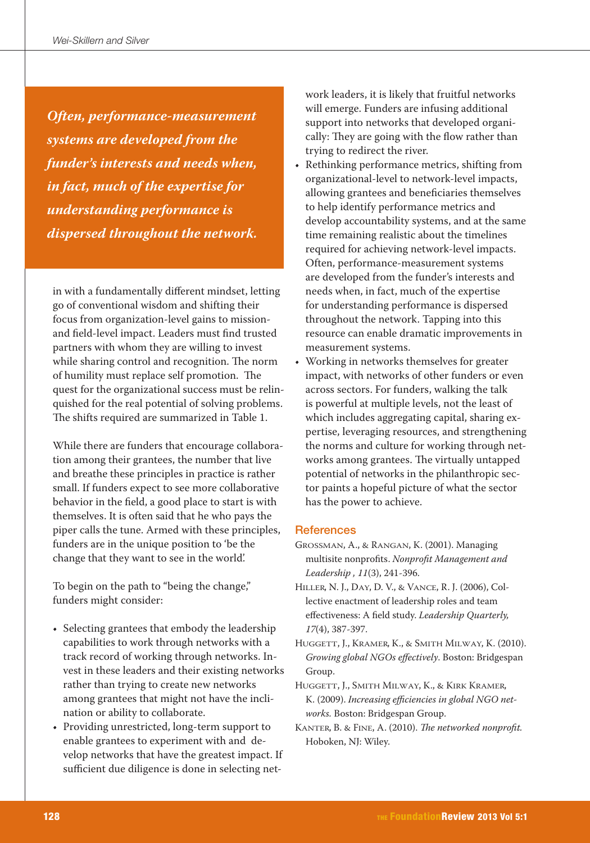**Often, performance-measurement systems are developed from the funder's interests and needs when, in fact, much of the expertise for understanding performance is dispersed throughout the network.**

in with a fundamentally different mindset, letting go of conventional wisdom and shifting their focus from organization-level gains to missionand field-level impact. Leaders must find trusted partners with whom they are willing to invest while sharing control and recognition. The norm of humility must replace self promotion. The quest for the organizational success must be relinquished for the real potential of solving problems. The shifts required are summarized in Table 1.

While there are funders that encourage collaboration among their grantees, the number that live and breathe these principles in practice is rather small. If funders expect to see more collaborative behavior in the field, a good place to start is with themselves. It is often said that he who pays the piper calls the tune. Armed with these principles, funders are in the unique position to 'be the change that they want to see in the world'.

To begin on the path to "being the change," funders might consider:

- Selecting grantees that embody the leadership capabilities to work through networks with a track record of working through networks. Invest in these leaders and their existing networks rather than trying to create new networks among grantees that might not have the inclination or ability to collaborate.
- Providing unrestricted, long-term support to enable grantees to experiment with and develop networks that have the greatest impact. If sufficient due diligence is done in selecting net-

work leaders, it is likely that fruitful networks will emerge. Funders are infusing additional support into networks that developed organically: They are going with the flow rather than trying to redirect the river.

- Rethinking performance metrics, shifting from organizational-level to network-level impacts, allowing grantees and beneficiaries themselves to help identify performance metrics and develop accountability systems, and at the same time remaining realistic about the timelines required for achieving network-level impacts. Often, performance-measurement systems are developed from the funder's interests and needs when, in fact, much of the expertise for understanding performance is dispersed throughout the network. Tapping into this resource can enable dramatic improvements in measurement systems.
- Working in networks themselves for greater impact, with networks of other funders or even across sectors. For funders, walking the talk is powerful at multiple levels, not the least of which includes aggregating capital, sharing expertise, leveraging resources, and strengthening the norms and culture for working through networks among grantees. The virtually untapped potential of networks in the philanthropic sector paints a hopeful picture of what the sector has the power to achieve.

#### **References**

- Grossman, A., & Rangan, K. (2001). Managing multisite nonprofits. Nonprofit Management and Leadership , 11(3), 241-396.
- Hiller, N. J., Day, D. V., & Vance, R. J. (2006), Collective enactment of leadership roles and team effectiveness: A field study. Leadership Quarterly, 17(4), 387-397.
- Huggett, J., Kramer, K., & Smith Milway, K. (2010). Growing global NGOs effectively. Boston: Bridgespan Group.
- Huggett, J., Smith Milway, K., & Kirk Kramer, K. (2009). Increasing efficiencies in global NGO networks. Boston: Bridgespan Group.
- KANTER, B. & FINE, A. (2010). The networked nonprofit. Hoboken, NJ: Wiley.